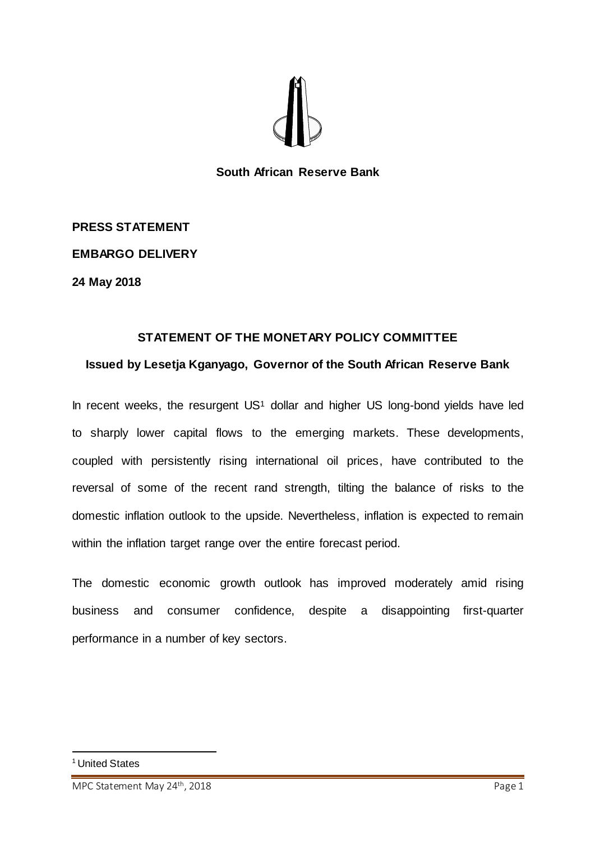

**South African Reserve Bank**

**PRESS STATEMENT**

**EMBARGO DELIVERY**

**24 May 2018** 

## **STATEMENT OF THE MONETARY POLICY COMMITTEE**

## **Issued by Lesetja Kganyago, Governor of the South African Reserve Bank**

In recent weeks, the resurgent US<sup>1</sup> dollar and higher US long-bond yields have led to sharply lower capital flows to the emerging markets. These developments, coupled with persistently rising international oil prices, have contributed to the reversal of some of the recent rand strength, tilting the balance of risks to the domestic inflation outlook to the upside. Nevertheless, inflation is expected to remain within the inflation target range over the entire forecast period.

The domestic economic growth outlook has improved moderately amid rising business and consumer confidence, despite a disappointing first-quarter performance in a number of key sectors.

<sup>1</sup> United States

MPC Statement May 24th, 2018  $th$ , 2018 Page 1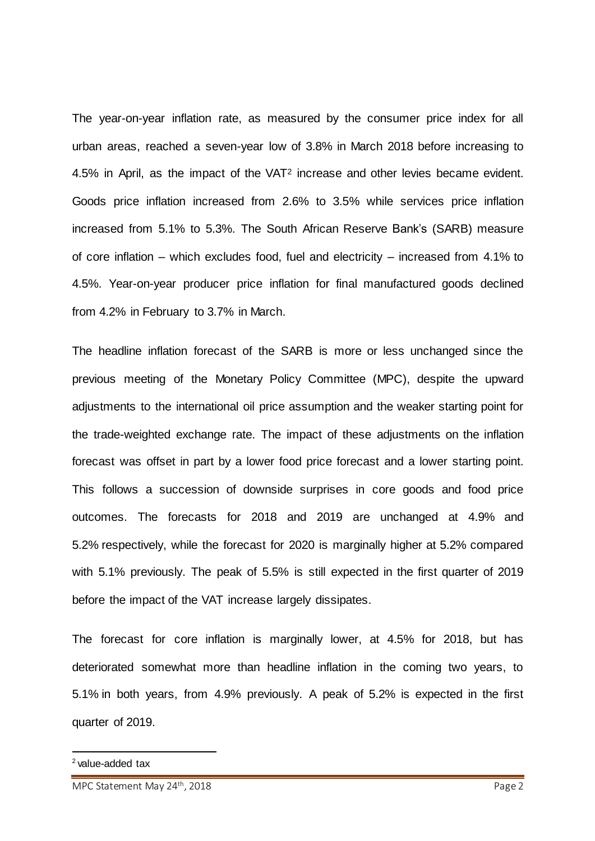The year-on-year inflation rate, as measured by the consumer price index for all urban areas, reached a seven-year low of 3.8% in March 2018 before increasing to 4.5% in April, as the impact of the VAT<sup>2</sup> increase and other levies became evident. Goods price inflation increased from 2.6% to 3.5% while services price inflation increased from 5.1% to 5.3%. The South African Reserve Bank's (SARB) measure of core inflation – which excludes food, fuel and electricity – increased from 4.1% to 4.5%. Year-on-year producer price inflation for final manufactured goods declined from 4.2% in February to 3.7% in March.

The headline inflation forecast of the SARB is more or less unchanged since the previous meeting of the Monetary Policy Committee (MPC), despite the upward adjustments to the international oil price assumption and the weaker starting point for the trade-weighted exchange rate. The impact of these adjustments on the inflation forecast was offset in part by a lower food price forecast and a lower starting point. This follows a succession of downside surprises in core goods and food price outcomes. The forecasts for 2018 and 2019 are unchanged at 4.9% and 5.2% respectively, while the forecast for 2020 is marginally higher at 5.2% compared with 5.1% previously. The peak of 5.5% is still expected in the first quarter of 2019 before the impact of the VAT increase largely dissipates.

The forecast for core inflation is marginally lower, at 4.5% for 2018, but has deteriorated somewhat more than headline inflation in the coming two years, to 5.1% in both years, from 4.9% previously. A peak of 5.2% is expected in the first quarter of 2019.

<sup>2</sup> value-added tax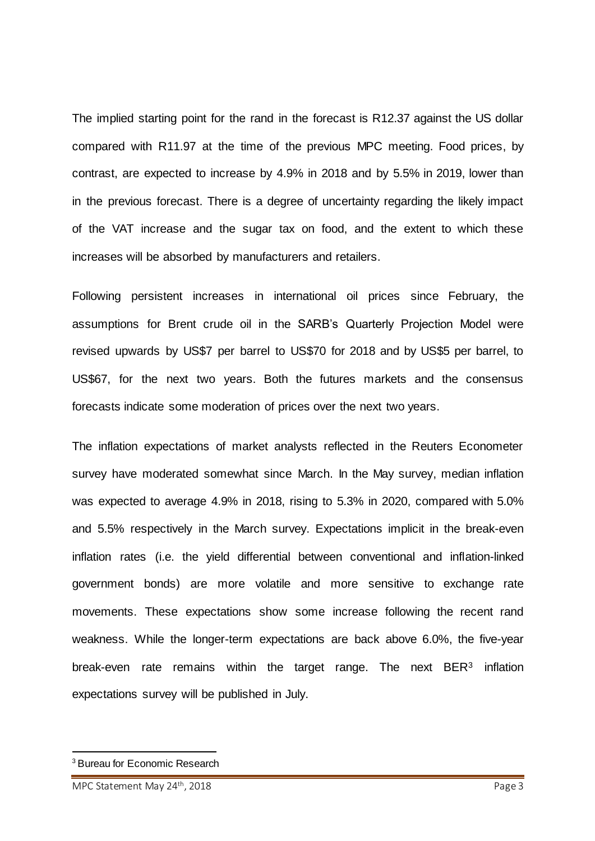The implied starting point for the rand in the forecast is R12.37 against the US dollar compared with R11.97 at the time of the previous MPC meeting. Food prices, by contrast, are expected to increase by 4.9% in 2018 and by 5.5% in 2019, lower than in the previous forecast. There is a degree of uncertainty regarding the likely impact of the VAT increase and the sugar tax on food, and the extent to which these increases will be absorbed by manufacturers and retailers.

Following persistent increases in international oil prices since February, the assumptions for Brent crude oil in the SARB's Quarterly Projection Model were revised upwards by US\$7 per barrel to US\$70 for 2018 and by US\$5 per barrel, to US\$67, for the next two years. Both the futures markets and the consensus forecasts indicate some moderation of prices over the next two years.

The inflation expectations of market analysts reflected in the Reuters Econometer survey have moderated somewhat since March. In the May survey, median inflation was expected to average 4.9% in 2018, rising to 5.3% in 2020, compared with 5.0% and 5.5% respectively in the March survey. Expectations implicit in the break-even inflation rates (i.e. the yield differential between conventional and inflation-linked government bonds) are more volatile and more sensitive to exchange rate movements. These expectations show some increase following the recent rand weakness. While the longer-term expectations are back above 6.0%, the five-year break-even rate remains within the target range. The next BER<sup>3</sup> inflation expectations survey will be published in July.

<sup>3</sup> Bureau for Economic Research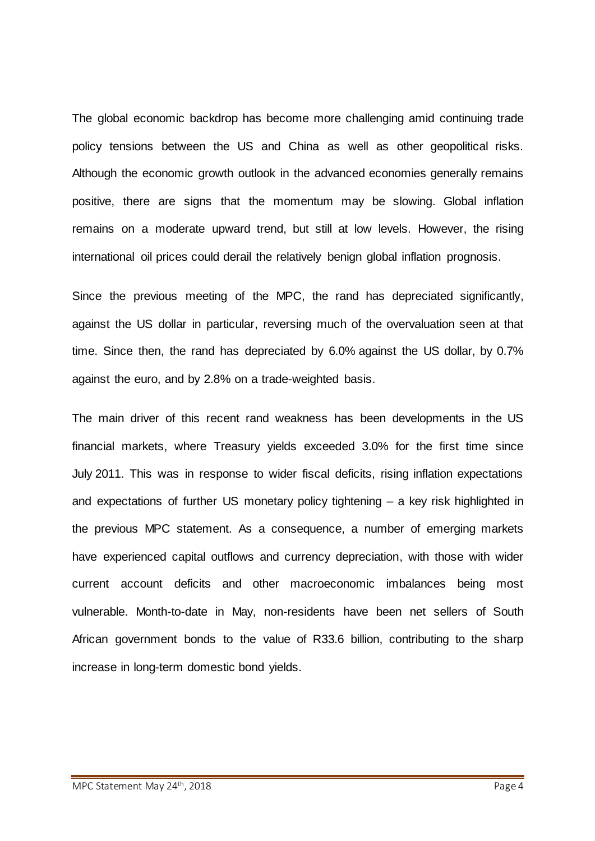The global economic backdrop has become more challenging amid continuing trade policy tensions between the US and China as well as other geopolitical risks. Although the economic growth outlook in the advanced economies generally remains positive, there are signs that the momentum may be slowing. Global inflation remains on a moderate upward trend, but still at low levels. However, the rising international oil prices could derail the relatively benign global inflation prognosis.

Since the previous meeting of the MPC, the rand has depreciated significantly, against the US dollar in particular, reversing much of the overvaluation seen at that time. Since then, the rand has depreciated by 6.0% against the US dollar, by 0.7% against the euro, and by 2.8% on a trade-weighted basis.

The main driver of this recent rand weakness has been developments in the US financial markets, where Treasury yields exceeded 3.0% for the first time since July 2011. This was in response to wider fiscal deficits, rising inflation expectations and expectations of further US monetary policy tightening – a key risk highlighted in the previous MPC statement. As a consequence, a number of emerging markets have experienced capital outflows and currency depreciation, with those with wider current account deficits and other macroeconomic imbalances being most vulnerable. Month-to-date in May, non-residents have been net sellers of South African government bonds to the value of R33.6 billion, contributing to the sharp increase in long-term domestic bond yields.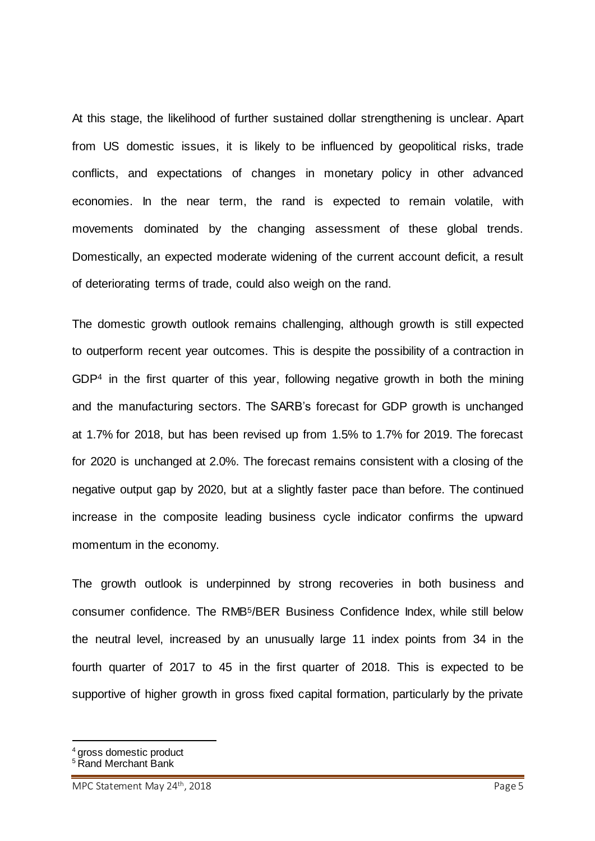At this stage, the likelihood of further sustained dollar strengthening is unclear. Apart from US domestic issues, it is likely to be influenced by geopolitical risks, trade conflicts, and expectations of changes in monetary policy in other advanced economies. In the near term, the rand is expected to remain volatile, with movements dominated by the changing assessment of these global trends. Domestically, an expected moderate widening of the current account deficit, a result of deteriorating terms of trade, could also weigh on the rand.

The domestic growth outlook remains challenging, although growth is still expected to outperform recent year outcomes. This is despite the possibility of a contraction in GDP<sup>4</sup> in the first quarter of this year, following negative growth in both the mining and the manufacturing sectors. The SARB's forecast for GDP growth is unchanged at 1.7% for 2018, but has been revised up from 1.5% to 1.7% for 2019. The forecast for 2020 is unchanged at 2.0%. The forecast remains consistent with a closing of the negative output gap by 2020, but at a slightly faster pace than before. The continued increase in the composite leading business cycle indicator confirms the upward momentum in the economy.

The growth outlook is underpinned by strong recoveries in both business and consumer confidence. The RMB5/BER Business Confidence Index, while still below the neutral level, increased by an unusually large 11 index points from 34 in the fourth quarter of 2017 to 45 in the first quarter of 2018. This is expected to be supportive of higher growth in gross fixed capital formation, particularly by the private

1

<sup>4</sup> gross domestic product

<sup>&</sup>lt;sup>5</sup> Rand Merchant Bank

MPC Statement May 24th, 2018 th, 2018 **Page 5**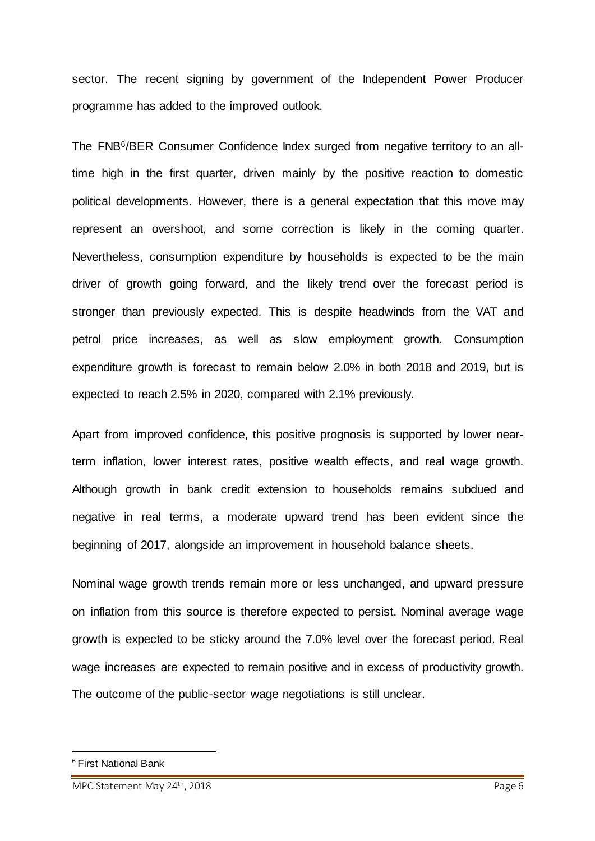sector. The recent signing by government of the Independent Power Producer programme has added to the improved outlook.

The FNB6/BER Consumer Confidence Index surged from negative territory to an alltime high in the first quarter, driven mainly by the positive reaction to domestic political developments. However, there is a general expectation that this move may represent an overshoot, and some correction is likely in the coming quarter. Nevertheless, consumption expenditure by households is expected to be the main driver of growth going forward, and the likely trend over the forecast period is stronger than previously expected. This is despite headwinds from the VAT and petrol price increases, as well as slow employment growth. Consumption expenditure growth is forecast to remain below 2.0% in both 2018 and 2019, but is expected to reach 2.5% in 2020, compared with 2.1% previously.

Apart from improved confidence, this positive prognosis is supported by lower nearterm inflation, lower interest rates, positive wealth effects, and real wage growth. Although growth in bank credit extension to households remains subdued and negative in real terms, a moderate upward trend has been evident since the beginning of 2017, alongside an improvement in household balance sheets.

Nominal wage growth trends remain more or less unchanged, and upward pressure on inflation from this source is therefore expected to persist. Nominal average wage growth is expected to be sticky around the 7.0% level over the forecast period. Real wage increases are expected to remain positive and in excess of productivity growth. The outcome of the public-sector wage negotiations is still unclear.

<sup>6</sup> First National Bank

MPC Statement May 24th, 2018 th, 2018 **Page 6**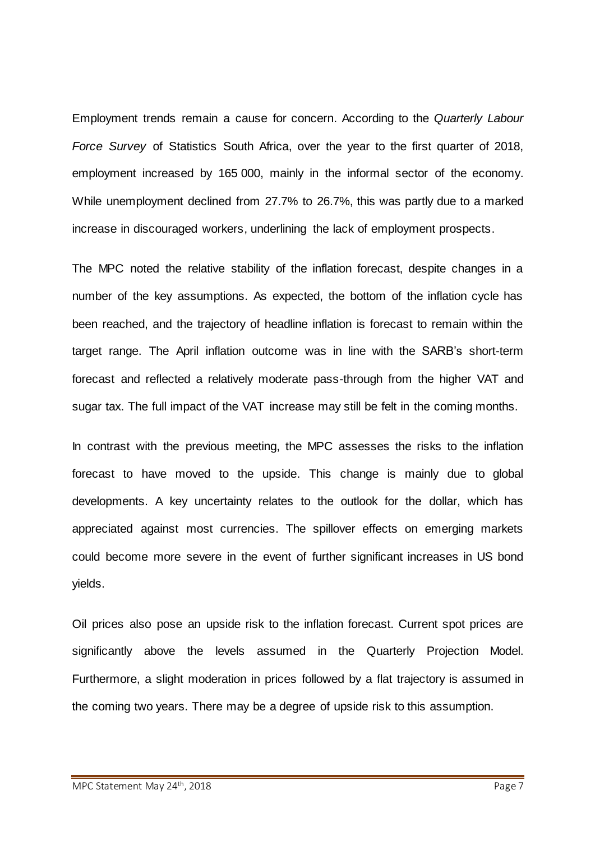Employment trends remain a cause for concern. According to the *Quarterly Labour Force Survey* of Statistics South Africa, over the year to the first quarter of 2018, employment increased by 165 000, mainly in the informal sector of the economy. While unemployment declined from 27.7% to 26.7%, this was partly due to a marked increase in discouraged workers, underlining the lack of employment prospects.

The MPC noted the relative stability of the inflation forecast, despite changes in a number of the key assumptions. As expected, the bottom of the inflation cycle has been reached, and the trajectory of headline inflation is forecast to remain within the target range. The April inflation outcome was in line with the SARB's short-term forecast and reflected a relatively moderate pass-through from the higher VAT and sugar tax. The full impact of the VAT increase may still be felt in the coming months.

In contrast with the previous meeting, the MPC assesses the risks to the inflation forecast to have moved to the upside. This change is mainly due to global developments. A key uncertainty relates to the outlook for the dollar, which has appreciated against most currencies. The spillover effects on emerging markets could become more severe in the event of further significant increases in US bond yields.

Oil prices also pose an upside risk to the inflation forecast. Current spot prices are significantly above the levels assumed in the Quarterly Projection Model. Furthermore, a slight moderation in prices followed by a flat trajectory is assumed in the coming two years. There may be a degree of upside risk to this assumption.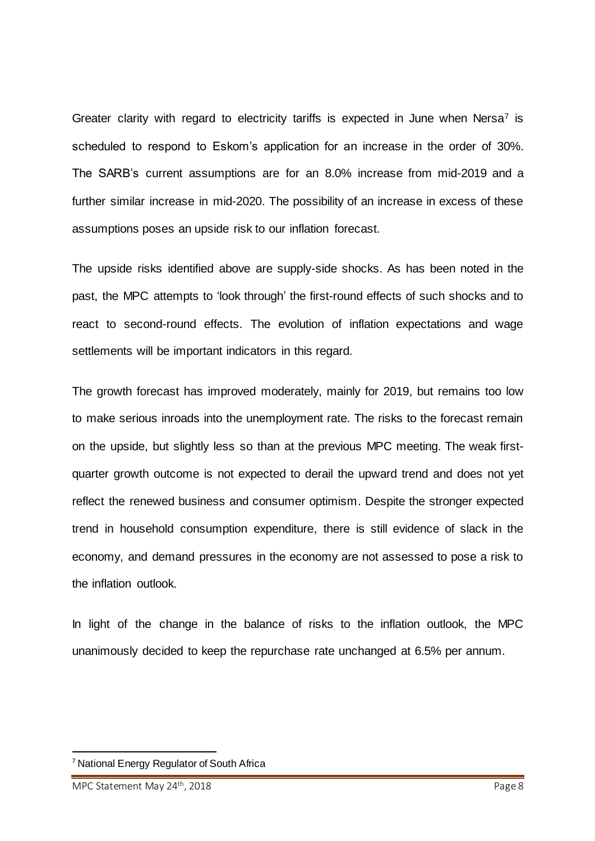Greater clarity with regard to electricity tariffs is expected in June when Nersa<sup>7</sup> is scheduled to respond to Eskom's application for an increase in the order of 30%. The SARB's current assumptions are for an 8.0% increase from mid-2019 and a further similar increase in mid-2020. The possibility of an increase in excess of these assumptions poses an upside risk to our inflation forecast.

The upside risks identified above are supply-side shocks. As has been noted in the past, the MPC attempts to 'look through' the first-round effects of such shocks and to react to second-round effects. The evolution of inflation expectations and wage settlements will be important indicators in this regard.

The growth forecast has improved moderately, mainly for 2019, but remains too low to make serious inroads into the unemployment rate. The risks to the forecast remain on the upside, but slightly less so than at the previous MPC meeting. The weak firstquarter growth outcome is not expected to derail the upward trend and does not yet reflect the renewed business and consumer optimism. Despite the stronger expected trend in household consumption expenditure, there is still evidence of slack in the economy, and demand pressures in the economy are not assessed to pose a risk to the inflation outlook.

In light of the change in the balance of risks to the inflation outlook, the MPC unanimously decided to keep the repurchase rate unchanged at 6.5% per annum.

<sup>7</sup> National Energy Regulator of South Africa